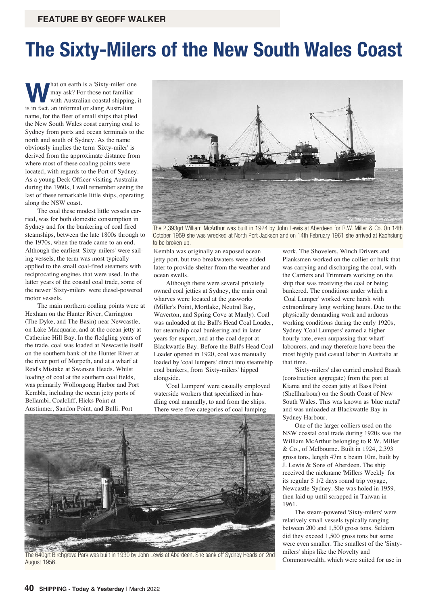## **The Sixty-Milers of the New South Wales Coast**

**What on earth is a 'Sixty-miler' one**<br>may ask? For those not familiar<br>with Australian coastal shipping, may ask? For those not familiar with Australian coastal shipping, it is in fact, an informal or slang Australian name, for the fleet of small ships that plied the New South Wales coast carrying coal to Sydney from ports and ocean terminals to the north and south of Sydney. As the name obviously implies the term 'Sixty-miler' is derived from the approximate distance from where most of these coaling points were located, with regards to the Port of Sydney. As a young Deck Officer visiting Australia during the 1960s, I well remember seeing the last of these remarkable little ships, operating along the NSW coast.

The coal these modest little vessels carried, was for both domestic consumption in Sydney and for the bunkering of coal fired steamships, between the late 1800s through to the 1970s, when the trade came to an end. Although the earliest 'Sixty-milers' were sailing vessels, the term was most typically applied to the small coal-fired steamers with reciprocating engines that were used. In the latter years of the coastal coal trade, some of the newer 'Sixty-milers' were diesel-powered motor vessels.

The main northern coaling points were at Hexham on the Hunter River, Carrington (The Dyke, and The Basin) near Newcastle, on Lake Macquarie, and at the ocean jetty at Catherine Hill Bay. In the fledgling years of the trade, coal was loaded at Newcastle itself on the southern bank of the Hunter River at the river port of Morpeth, and at a wharf at Reid's Mistake at Swansea Heads. Whilst loading of coal at the southern coal fields, was primarily Wollongong Harbor and Port Kembla, including the ocean jetty ports of Bellambi, Coalcliff, Hicks Point at Austinmer, Sandon Point, and Bulli. Port



The 2,393grt William McArthur was built in 1924 by John Lewis at Aberdeen for R.W. Miller & Co. On 14th October 1959 she was wrecked at North Port Jackson and on 14th February 1961 she arrived at Kaohsiung to be broken up.

Kembla was originally an exposed ocean jetty port, but two breakwaters were added later to provide shelter from the weather and ocean swells.

Although there were several privately owned coal jetties at Sydney, the main coal wharves were located at the gasworks (Miller's Point, Mortlake, Neutral Bay, Waverton, and Spring Cove at Manly). Coal was unloaded at the Ball's Head Coal Loader, for steamship coal bunkering and in later years for export, and at the coal depot at Blackwattle Bay. Before the Ball's Head Coal Loader opened in 1920, coal was manually loaded by 'coal lumpers' direct into steamship coal bunkers, from 'Sixty-milers' hipped alongside.

'Coal Lumpers' were casually employed waterside workers that specialized in handling coal manually, to and from the ships. There were five categories of coal lumping



The 640grt Birchgrove Park was built in 1930 by John Lewis at Aberdeen. She sank off Sydney Heads on 2nd<br>August 1956 August 1956.

work. The Shovelers, Winch Drivers and Planksmen worked on the collier or hulk that was carrying and discharging the coal, with the Carriers and Trimmers working on the ship that was receiving the coal or being bunkered. The conditions under which a 'Coal Lumper' worked were harsh with extraordinary long working hours. Due to the physically demanding work and arduous working conditions during the early 1920s, Sydney 'Coal Lumpers' earned a higher hourly rate, even surpassing that wharf labourers, and may therefore have been the most highly paid casual labor in Australia at that time.

'Sixty-milers' also carried crushed Basalt (construction aggregate) from the port at Kiama and the ocean jetty at Bass Point (Shellharbour) on the South Coast of New South Wales. This was known as 'blue metal' and was unloaded at Blackwattle Bay in Sydney Harbour.

One of the larger colliers used on the NSW coastal coal trade during 1920s was the William McArthur belonging to R.W. Miller & Co., of Melbourne. Built in 1924, 2,393 gross tons, length 47m x beam 10m, built by J. Lewis & Sons of Aberdeen. The ship received the nickname 'Millers Weekly' for its regular 5 1/2 days round trip voyage, Newcastle-Sydney. She was holed in 1959, then laid up until scrapped in Taiwan in 1961.

The steam-powered 'Sixty-milers' were relatively small vessels typically ranging between 200 and 1,500 gross tons. Seldom did they exceed 1,500 gross tons but some were even smaller. The smallest of the 'Sixtymilers' ships like the Novelty and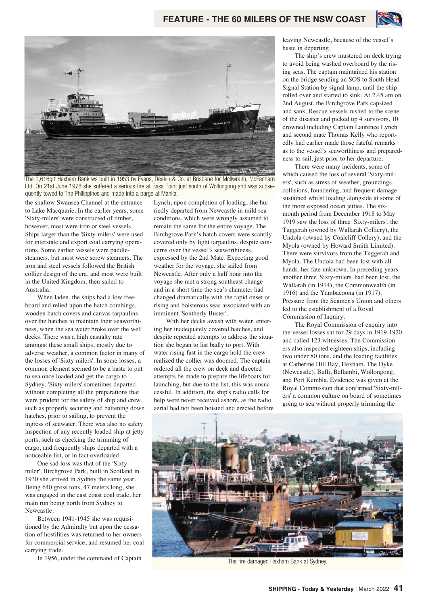

The 1,616grt Hexham Bank ws built in 1953 by Evans, Deakin & Co. at Brisbane for McIlwraith, McEacharn Ltd. On 21st June 1978 she suffered a serious fire at Bass Point just south of Wollongong and was subsequently towed to The Philippines and made into a barge at Manila.

the shallow Swansea Channel at the entrance to Lake Macquarie. In the earlier years, some 'Sixty-milers' were constructed of timber, however, most were iron or steel vessels. Ships larger than the 'Sixty-milers' were used for interstate and export coal carrying operations. Some earlier vessels were paddlesteamers, but most were screw steamers. The iron and steel vessels followed the British collier design of the era, and most were built in the United Kingdom, then sailed to Australia.

When laden, the ships had a low freeboard and relied upon the hatch combings, wooden hatch covers and canvas tarpaulins over the hatches to maintain their seaworthiness, when the sea water broke over the well decks. There was a high casualty rate amongst these small ships, mostly due to adverse weather, a common factor in many of the losses of 'Sixty milers'. In some losses, a common element seemed to be a haste to put to sea once loaded and get the cargo to Sydney. 'Sixty-milers' sometimes departed without completing all the preparations that were prudent for the safety of ship and crew, such as properly securing and battening down hatches, prior to sailing, to prevent the ingress of seawater. There was also no safety inspection of any recently loaded ship at jetty ports, such as checking the trimming of cargo, and frequently ships departed with a noticeable list, or in fact overloaded.

One sad loss was that of the 'Sixtymiler', Birchgrove Park, built in Scotland in 1930 she arrived in Sydney the same year. Being 640 gross tons, 47 meters long, she was engaged in the east coast coal trade, her main run being north from Sydney to Newcastle.

Between 1941-1945 she was requisitioned by the Admiralty but upon the cessation of hostilities was returned to her owners for commercial service, and resumed her coal carrying trade.

In 1956, under the command of Captain

Lynch, upon completion of loading, she hurriedly departed from Newcastle in mild sea conditions, which were wrongly assumed to remain the same for the entire voyage. The Birchgrove Park's hatch covers were scantily covered only by light tarpaulins, despite concerns over the vessel's seaworthiness, expressed by the 2nd Mate. Expecting good weather for the voyage, she sailed from Newcastle. After only a half hour into the voyage she met a strong southeast change and in a short time the sea's character had changed dramatically with the rapid onset of rising and boisterous seas associated with an imminent 'Southerly Buster'.

With her decks awash with water, entering her inadequately covered hatches, and despite repeated attempts to address the situation she began to list badly to port. With water rising fast in the cargo hold the crew realized the collier was doomed. The captain ordered all the crew on deck and directed attempts be made to prepare the lifeboats for launching, but due to the list, this was unsuccessful. In addition, the ship's radio calls for help were never received ashore, as the radio aerial had not been hoisted and erected before leaving Newcastle, because of the vessel's haste in departing.

The ship's crew mustered on deck trying to avoid being washed overboard by the rising seas. The captain maintained his station on the bridge sending an SOS to South Head Signal Station by signal lamp, until the ship rolled over and started to sink. At 2.45 am on 2nd August, the Birchgrove Park capsized and sank. Rescue vessels rushed to the scene of the disaster and picked up 4 survivors, 10 drowned including Captain Laurence Lynch and second mate Thomas Kelly who reportedly had earlier made those fateful remarks as to the vessel's seaworthiness and preparedness to sail, just prior to her departure.

There were many incidents, some of which caused the loss of several 'Sixty-milers', such as stress of weather, groundings, collisions, foundering, and frequent damage sustained whilst loading alongside at some of the more exposed ocean jetties. The sixmonth period from December 1918 to May 1919 saw the loss of three 'Sixty-milers', the Tuggerah (owned by Wallarah Colliery), the Undola (owned by Coalcliff Collery), and the Myola (owned by Howard Smith Limited). There were survivors from the Tuggerah and Myola. The Undola had been lost with all hands, her fate unknown. In preceding years another three 'Sixty-milers' had been lost, the Wallarah (in 1914), the Commonwealth (in 1916) and the Yambacoona (in 1917). Pressure from the Seamen's Union and others led to the establishment of a Royal Commission of Inquiry.

The Royal Commission of enquiry into the vessel losses sat for 29 days in 1919-1920 and called 123 witnesses. The Commissioners also inspected eighteen ships, including two under 80 tons, and the loading facilities at Catherine Hill Bay, Hexham, The Dyke (Newcastle), Bulli, Bellambi, Wollongong, and Port Kembla. Evidence was given at the Royal Commission that confirmed 'Sixty-milers' a common culture on board of sometimes going to sea without properly trimming the



The fire damaged Hexham Bank at Sydney.